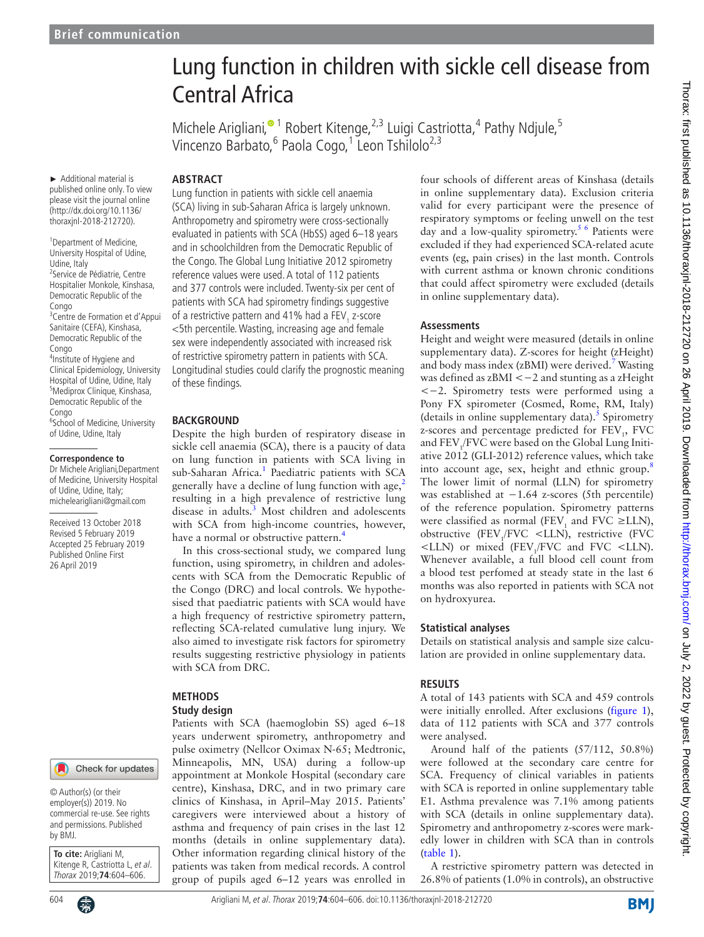# Lung function in children with sickle cell disease from Central Africa

Michele Arigliani[,](http://orcid.org/0000-0002-5366-4594)<sup>® 1</sup> Robert Kitenge,<sup>2,3</sup> Luigi Castriotta,<sup>4</sup> Pathy Ndjule,<sup>5</sup> Vincenzo Barbato, <sup>6</sup> Paola Cogo, <sup>1</sup> Leon Tshilolo<sup>2,3</sup>

► Additional material is published online only. To view please visit the journal online (http://dx.doi.org/10.1136/ thoraxjnl-2018-212720).

<sup>1</sup> Department of Medicine, University Hospital of Udine, Udine, Italy <sup>2</sup>Service de Pédiatrie, Centre Hospitalier Monkole, Kinshasa, Democratic Republic of the Congo <sup>3</sup> Centre de Formation et d'Appui Sanitaire (CEFA), Kinshasa, Democratic Republic of the Congo 4 Institute of Hygiene and Clinical Epidemiology, University Hospital of Udine, Udine, Italy 5 Mediprox Clinique, Kinshasa, Democratic Republic of the Congo <sup>6</sup>School of Medicine, University of Udine, Udine, Italy

#### **Correspondence to**

Dr Michele Arigliani,Department of Medicine, University Hospital of Udine, Udine, Italy; michelearigliani@gmail.com

Received 13 October 2018 Revised 5 February 2019 Accepted 25 February 2019 Published Online First 26 April 2019

### Check for updates

© Author(s) (or their employer(s)) 2019. No commercial re-use. See rights and permissions. Published by BMJ.

**To cite:** Arigliani M, Kitenge R, Castriotta L, et al. Thorax 2019;**74**:604–606.

Lung function in patients with sickle cell anaemia (SCA) living in sub-Saharan Africa is largely unknown. Anthropometry and spirometry were cross-sectionally evaluated in patients with SCA (HbSS) aged 6–18 years and in schoolchildren from the Democratic Republic of the Congo. The Global Lung Initiative 2012 spirometry reference values were used. A total of 112 patients and 377 controls were included. Twenty-six per cent of patients with SCA had spirometry findings suggestive of a restrictive pattern and 41% had a FEV<sub>1</sub> z-score <5th percentile. Wasting, increasing age and female sex were independently associated with increased risk of restrictive spirometry pattern in patients with SCA. Longitudinal studies could clarify the prognostic meaning of these findings.

#### **BACKGROUND**

**Abstract**

Despite the high burden of respiratory disease in sickle cell anaemia (SCA), there is a paucity of data on lung function in patients with SCA living in sub-Saharan Africa.<sup>[1](#page-2-0)</sup> Paediatric patients with SCA generally have a decline of lung function with age,<sup>[2](#page-2-1)</sup> resulting in a high prevalence of restrictive lung disease in adults.<sup>[3](#page-2-2)</sup> Most children and adolescents with SCA from high-income countries, however, have a normal or obstructive pattern.<sup>4</sup>

In this cross-sectional study, we compared lung function, using spirometry, in children and adolescents with SCA from the Democratic Republic of the Congo (DRC) and local controls. We hypothesised that paediatric patients with SCA would have a high frequency of restrictive spirometry pattern, reflecting SCA-related cumulative lung injury. We also aimed to investigate risk factors for spirometry results suggesting restrictive physiology in patients with SCA from DRC.

# **Methods**

**Study design**

Patients with SCA (haemoglobin SS) aged 6–18 years underwent spirometry, anthropometry and pulse oximetry (Nellcor Oximax N-65; Medtronic, Minneapolis, MN, USA) during a follow-up appointment at Monkole Hospital (secondary care centre), Kinshasa, DRC, and in two primary care clinics of Kinshasa, in April–May 2015. Patients' caregivers were interviewed about a history of asthma and frequency of pain crises in the last 12 months (details in [online supplementary data\)](https://dx.doi.org/10.1136/thoraxjnl-2018-212720). Other information regarding clinical history of the patients was taken from medical records. A control group of pupils aged 6–12 years was enrolled in four schools of different areas of Kinshasa (details in [online supplementary data\)](https://dx.doi.org/10.1136/thoraxjnl-2018-212720). Exclusion criteria valid for every participant were the presence of respiratory symptoms or feeling unwell on the test day and a low-quality spirometry.<sup>5 6</sup> Patients were excluded if they had experienced SCA-related acute events (eg, pain crises) in the last month. Controls with current asthma or known chronic conditions that could affect spirometry were excluded (details in [online supplementary data\)](https://dx.doi.org/10.1136/thoraxjnl-2018-212720).

#### **Assessments**

Height and weight were measured (details in [online](https://dx.doi.org/10.1136/thoraxjnl-2018-212720) [supplementary data\)](https://dx.doi.org/10.1136/thoraxjnl-2018-212720). Z-scores for height (zHeight) and body mass index (zBMI) were derived.<sup>[7](#page-2-5)</sup> Wasting was defined as zBMI <−2 and stunting as a zHeight <−2. Spirometry tests were performed using a Pony FX spirometer (Cosmed, Rome, RM, Italy) (details in [online supplementary data\)](https://dx.doi.org/10.1136/thoraxjnl-2018-212720). $5$  Spirometry z-scores and percentage predicted for FEV<sub>1</sub>, FVC and  $\rm FEV_{1}/FVC$  were based on the Global Lung Initiative 2012 (GLI-2012) reference values, which take into account age, sex, height and ethnic group.<sup>[8](#page-2-6)</sup> The lower limit of normal (LLN) for spirometry was established at −1.64 z-scores (5th percentile) of the reference population. Spirometry patterns were classified as normal (FEV<sub>1</sub> and FVC  $\geq$ LLN), obstructive (FEV<sub>1</sub>/FVC <LLN), restrictive (FVC  $\leq$ LLN) or mixed (FEV<sub>1</sub>/FVC and FVC  $\leq$ LLN). Whenever available, a full blood cell count from a blood test perfomed at steady state in the last 6 months was also reported in patients with SCA not on hydroxyurea.

#### **Statistical analyses**

Details on statistical analysis and sample size calculation are provided in [online supplementary data](https://dx.doi.org/10.1136/thoraxjnl-2018-212720).

#### **Results**

A total of 143 patients with SCA and 459 controls were initially enrolled. After exclusions ([figure](#page-1-0) 1), data of 112 patients with SCA and 377 controls were analysed.

Around half of the patients (57/112, 50.8%) were followed at the secondary care centre for SCA. Frequency of clinical variables in patients with SCA is reported in [online supplementary table](https://dx.doi.org/10.1136/thoraxjnl-2018-212720) [E1](https://dx.doi.org/10.1136/thoraxjnl-2018-212720). Asthma prevalence was 7.1% among patients with SCA (details in [online supplementary data\)](https://dx.doi.org/10.1136/thoraxjnl-2018-212720). Spirometry and anthropometry z-scores were markedly lower in children with SCA than in controls ([table](#page-1-1) 1).

A restrictive spirometry pattern was detected in 26.8% of patients (1.0% in controls), an obstructive

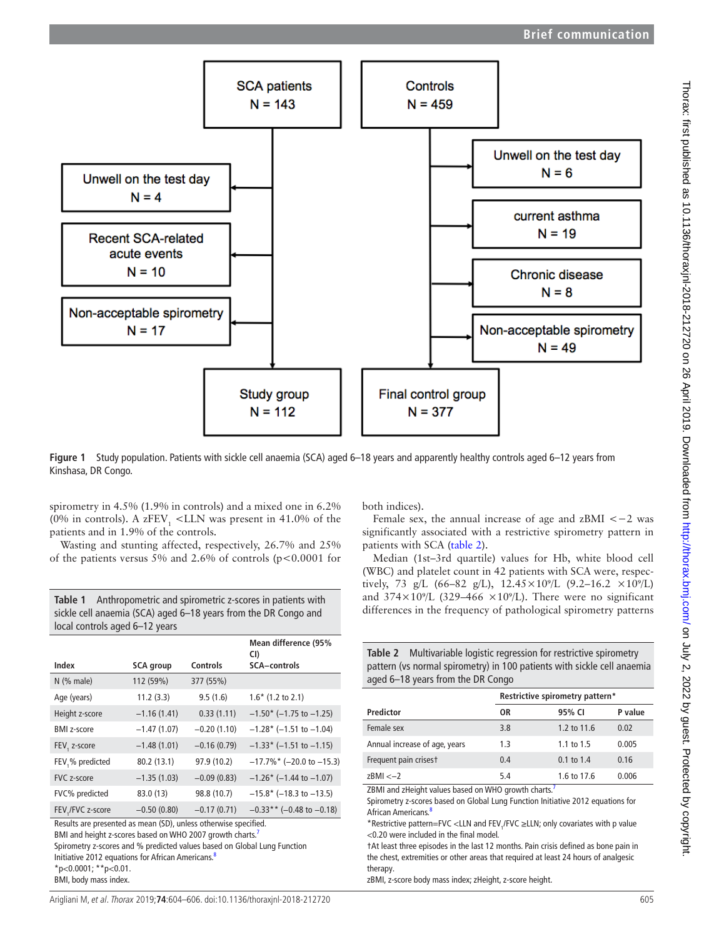

<span id="page-1-0"></span>**Figure 1** Study population. Patients with sickle cell anaemia (SCA) aged 6–18 years and apparently healthy controls aged 6–12 years from Kinshasa, DR Congo.

spirometry in 4.5% (1.9% in controls) and a mixed one in 6.2% (0% in controls). A z $FEV_1$  <LLN was present in 41.0% of the patients and in 1.9% of the controls.

Wasting and stunting affected, respectively, 26.7% and 25% of the patients versus 5% and 2.6% of controls (p<0.0001 for

<span id="page-1-1"></span>**Table 1** Anthropometric and spirometric z-scores in patients with sickle cell anaemia (SCA) aged 6–18 years from the DR Congo and local controls aged 6–12 years

|                    |                  |               | Mean difference (95%<br>CI)  |
|--------------------|------------------|---------------|------------------------------|
| Index              | <b>SCA</b> group | Controls      | <b>SCA-controls</b>          |
| $N$ (% male)       | 112 (59%)        | 377 (55%)     |                              |
| Age (years)        | 11.2(3.3)        | 9.5(1.6)      | $1.6*$ (1.2 to 2.1)          |
| Height z-score     | $-1.16(1.41)$    | 0.33(1.11)    | $-1.50$ * (-1.75 to -1.25)   |
| <b>BMI</b> z-score | $-1.47(1.07)$    | $-0.20(1.10)$ | $-1.28$ * (-1.51 to -1.04)   |
| FEV, z-score       | $-1.48(1.01)$    | $-0.16(0.79)$ | $-1.33$ * (-1.51 to -1.15)   |
| FEV,% predicted    | 80.2 (13.1)      | 97.9 (10.2)   | $-17.7\%$ * (-20.0 to -15.3) |
| FVC z-score        | $-1.35(1.03)$    | $-0.09(0.83)$ | $-1.26$ * (-1.44 to -1.07)   |
| FVC% predicted     | 83.0 (13)        | 98.8 (10.7)   | $-15.8*$ (-18.3 to -13.5)    |
| FEV, / FVC z-score | $-0.50(0.80)$    | $-0.17(0.71)$ | $-0.33**$ (-0.48 to -0.18)   |

Results are presented as mean (SD), unless otherwise specified. BMI and height z-scores based on WHO 2007 growth charts.<sup>7</sup>

Spirometry z-scores and % predicted values based on Global Lung Function Initiative 2012 equations for African Americans.<sup>[8](#page-2-6)</sup>

\*p<0.0001; \*\*p<0.01.

BMI, body mass index.

both indices).

Female sex, the annual increase of age and  $z$ BMI  $<-2$  was significantly associated with a restrictive spirometry pattern in patients with SCA ([table](#page-1-2) 2).

Median (1st–3rd quartile) values for Hb, white blood cell (WBC) and platelet count in 42 patients with SCA were, respectively, 73 g/L (66–82 g/L),  $12.45 \times 10^{9}$ /L (9.2–16.2  $\times 10^{9}$ /L) and  $374 \times 10^{9}/L$  (329–466  $\times 10^{9}/L$ ). There were no significant differences in the frequency of pathological spirometry patterns

<span id="page-1-2"></span>

| <b>Table 2</b> Multivariable logistic regression for restrictive spirometry |
|-----------------------------------------------------------------------------|
| pattern (vs normal spirometry) in 100 patients with sickle cell anaemia     |
| aged 6–18 years from the DR Congo                                           |

|                               | Restrictive spirometry pattern* |                |         |
|-------------------------------|---------------------------------|----------------|---------|
| Predictor                     | 0R                              | 95% CI         | P value |
| Female sex                    | 3.8                             | 1.2 to 11.6    | 0.02    |
| Annual increase of age, years | 1.3                             | 1.1 to $1.5$   | 0.005   |
| Frequent pain crises t        | 0.4                             | $0.1$ to $1.4$ | 0.16    |
| $z$ BMI $<-2$                 | 5.4                             | 1.6 to 17.6    | 0.006   |

ZBMI and zHeight values based on WHO growth charts.<sup>7</sup>

Spirometry z-scores based on Global Lung Function Initiative 2012 equations for African Americans.<sup>[8](#page-2-6)</sup>

\*Restrictive pattern=FVC <LLN and FEV<sub>1</sub>/FVC ≥LLN; only covariates with p value <0.20 were included in the final model.

†At least three episodes in the last 12 months. Pain crisis defined as bone pain in the chest, extremities or other areas that required at least 24 hours of analgesic therapy.

zBMI, z-score body mass index; zHeight, z-score height.